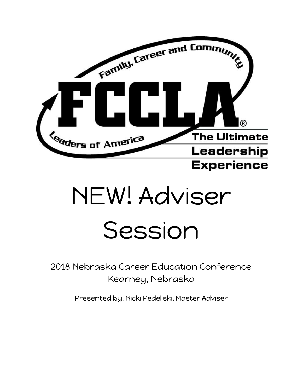

# NEW! Adviser Session

2018 Nebraska Career Education Conference Kearney, Nebraska

Presented by: Nicki Pedeliski, Master Adviser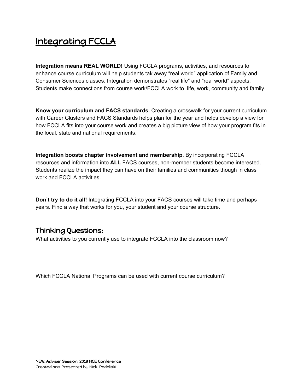## Integrating FCCLA

**Integration means REAL WORLD!** Using FCCLA programs, activities, and resources to enhance course curriculum will help students tak away "real world" application of Family and Consumer Sciences classes. Integration demonstrates "real life" and "real world" aspects. Students make connections from course work/FCCLA work to life, work, community and family.

**Know your curriculum and FACS standards.** Creating a crosswalk for your current curriculum with Career Clusters and FACS Standards helps plan for the year and helps develop a view for how FCCLA fits into your course work and creates a big picture view of how your program fits in the local, state and national requirements.

**Integration boosts chapter involvement and membership**. By incorporating FCCLA resources and information into **ALL** FACS courses, non-member students become interested. Students realize the impact they can have on their families and communities though in class work and FCCLA activities.

**Don't try to do it all!** Integrating FCCLA into your FACS courses will take time and perhaps years. Find a way that works for you, your student and your course structure.

## Thinking Questions:

What activities to you currently use to integrate FCCLA into the classroom now?

Which FCCLA National Programs can be used with current course curriculum?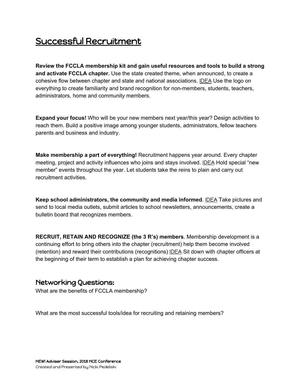## Successful Recruitment

**Review the FCCLA membership kit and gain useful resources and tools to build a strong and activate FCCLA chapter.** Use the state created theme, when announced, to create a cohesive flow between chapter and state and national associations. IDEA Use the logo on everything to create familiarity and brand recognition for non-members, students, teachers, administrators, home and community members.

**Expand your focus!** Who will be your new members next year/this year? Design activities to reach them. Build a positive image among younger students, administrators, fellow teachers parents and business and industry.

**Make membership a part of everything!** Recruitment happens year around. Every chapter meeting, project and activity influences who joins and stays involved. IDEA Hold special "new member" events throughout the year. Let students take the reins to plain and carry out recruitment activities.

**Keep school administrators, the community and media informed**. IDEA Take pictures and send to local media outlets, submit articles to school newsletters, announcements, create a bulletin board that recognizes members.

**RECRUIT, RETAIN AND RECOGNIZE (the 3 R's) members**. Membership development is a continuing effort to bring others into the chapter (recruitment) help them become involved (retention) and reward their contributions (recognitions) IDEA Sit down with chapter officers at the beginning of their term to establish a plan for achieving chapter success.

## Networking Questions:

What are the benefits of FCCLA membership?

What are the most successful tools/idea for recruiting and retaining members?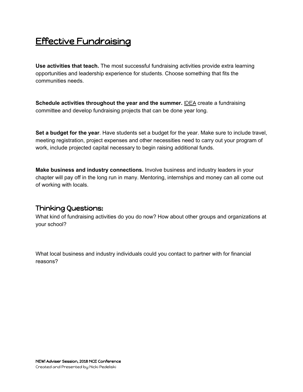## Effective Fundraising

**Use activities that teach.** The most successful fundraising activities provide extra learning opportunities and leadership experience for students. Choose something that fits the communities needs.

**Schedule activities throughout the year and the summer.** IDEA create a fundraising committee and develop fundraising projects that can be done year long.

**Set a budget for the year**. Have students set a budget for the year. Make sure to include travel, meeting registration, project expenses and other necessities need to carry out your program of work, include projected capital necessary to begin raising additional funds.

**Make business and industry connections.** Involve business and industry leaders in your chapter will pay off in the long run in many. Mentoring, internships and money can all come out of working with locals.

#### Thinking Questions:

What kind of fundraising activities do you do now? How about other groups and organizations at your school?

What local business and industry individuals could you contact to partner with for financial reasons?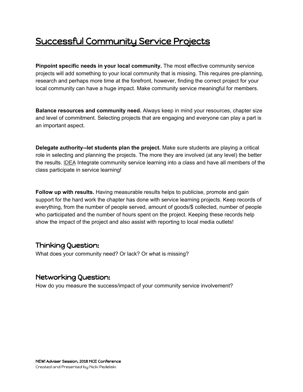## Successful Community Service Projects

**Pinpoint specific needs in your local community.** The most effective community service projects will add something to your local community that is missing. This requires pre-planning, research and perhaps more time at the forefront, however, finding the correct project for your local community can have a huge impact. Make community service meaningful for members.

**Balance resources and community need.** Always keep in mind your resources, chapter size and level of commitment. Selecting projects that are engaging and everyone can play a part is an important aspect.

**Delegate authority--let students plan the project.** Make sure students are playing a critical role in selecting and planning the projects. The more they are involved (at any level) the better the results. **IDEA** Integrate community service learning into a class and have all members of the class participate in service learning!

**Follow up with results.** Having measurable results helps to publicise, promote and gain support for the hard work the chapter has done with service learning projects. Keep records of everything, from the number of people served, amount of goods/\$ collected, number of people who participated and the number of hours spent on the project. Keeping these records help show the impact of the project and also assist with reporting to local media outlets!

#### Thinking Question:

What does your community need? Or lack? Or what is missing?

#### Networking Question:

How do you measure the success/impact of your community service involvement?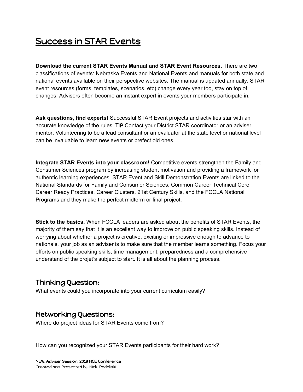## Success in STAR Events

**Download the current STAR Events Manual and STAR Event Resources.** There are two classifications of events: Nebraska Events and National Events and manuals for both state and national events available on their perspective websites. The manual is updated annually. STAR event resources (forms, templates, scenarios, etc) change every year too, stay on top of changes. Advisers often become an instant expert in events your members participate in.

**Ask questions, find experts!** Successful STAR Event projects and activities star with an accurate knowledge of the rules. TIP Contact your District STAR coordinator or an adviser mentor. Volunteering to be a lead consultant or an evaluator at the state level or national level can be invaluable to learn new events or prefect old ones.

**Integrate STAR Events into your classroom!** Competitive events strengthen the Family and Consumer Sciences program by increasing student motivation and providing a framework for authentic learning experiences. STAR Event and Skill Demonstration Events are linked to the National Standards for Family and Consumer Sciences, Common Career Technical Core Career Ready Practices, Career Clusters, 21st Century Skills, and the FCCLA National Programs and they make the perfect midterm or final project.

**Stick to the basics.** When FCCLA leaders are asked about the benefits of STAR Events, the majority of them say that it is an excellent way to improve on public speaking skills. Instead of worrying about whether a project is creative, exciting or impressive enough to advance to nationals, your job as an adviser is to make sure that the member learns something. Focus your efforts on public speaking skills, time management, preparedness and a comprehensive understand of the projet's subject to start. It is all about the planning process.

#### Thinking Question:

What events could you incorporate into your current curriculum easily?

#### Networking Questions:

Where do project ideas for STAR Events come from?

How can you recognized your STAR Events participants for their hard work?